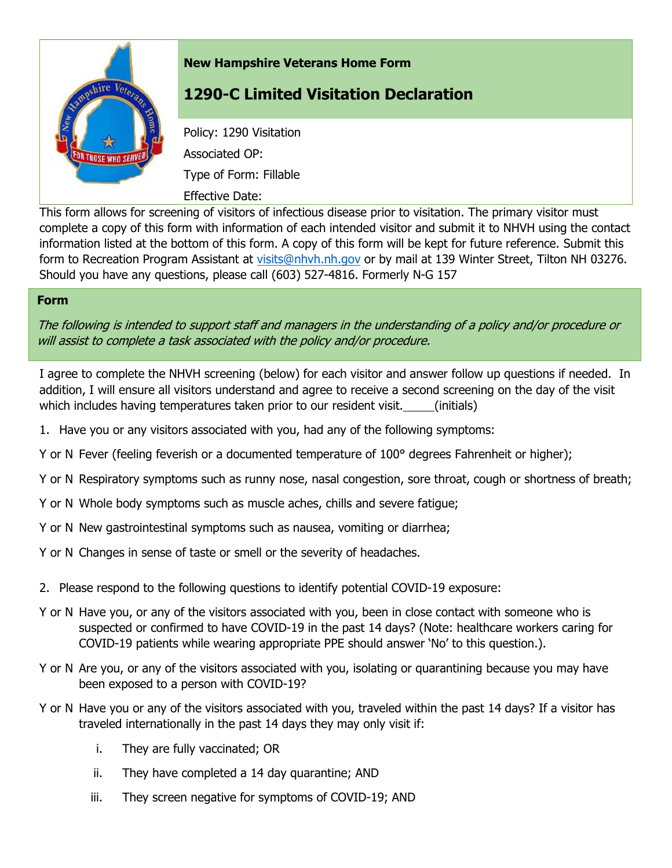

## **New Hampshire Veterans Home Form**

## **1290-C Limited Visitation Declaration**

Policy: 1290 Visitation Associated OP: Type of Form: Fillable Effective Date:

This form allows for screening of visitors of infectious disease prior to visitation. The primary visitor must complete a copy of this form with information of each intended visitor and submit it to NHVH using the contact information listed at the bottom of this form. A copy of this form will be kept for future reference. Submit this form to Recreation Program Assistant at [visits@nhvh.nh.gov](mailto:visits@nhvh.nh.gov) or by mail at 139 Winter Street, Tilton NH 03276. Should you have any questions, please call (603) 527-4816. Formerly N-G 157

## **Form**

The following is intended to support staff and managers in the understanding of a policy and/or procedure or will assist to complete a task associated with the policy and/or procedure.

I agree to complete the NHVH screening (below) for each visitor and answer follow up questions if needed. In addition, I will ensure all visitors understand and agree to receive a second screening on the day of the visit which includes having temperatures taken prior to our resident visit. (initials)

- 1. Have you or any visitors associated with you, had any of the following symptoms:
- Y or N Fever (feeling feverish or a documented temperature of 100° degrees Fahrenheit or higher);
- Y or N Respiratory symptoms such as runny nose, nasal congestion, sore throat, cough or shortness of breath;
- Y or N Whole body symptoms such as muscle aches, chills and severe fatigue;
- Y or N New gastrointestinal symptoms such as nausea, vomiting or diarrhea;
- Y or N Changes in sense of taste or smell or the severity of headaches.
- 2. Please respond to the following questions to identify potential COVID-19 exposure:
- Y or N Have you, or any of the visitors associated with you, been in close contact with someone who is suspected or confirmed to have COVID-19 in the past 14 days? (Note: healthcare workers caring for COVID-19 patients while wearing appropriate PPE should answer 'No' to this question.).
- Y or N Are you, or any of the visitors associated with you, isolating or quarantining because you may have been exposed to a person with COVID-19?
- Y or N Have you or any of the visitors associated with you, traveled within the past 14 days? If a visitor has traveled internationally in the past 14 days they may only visit if:
	- i. They are fully vaccinated; OR
	- ii. They have completed a 14 day quarantine; AND
	- iii. They screen negative for symptoms of COVID-19; AND